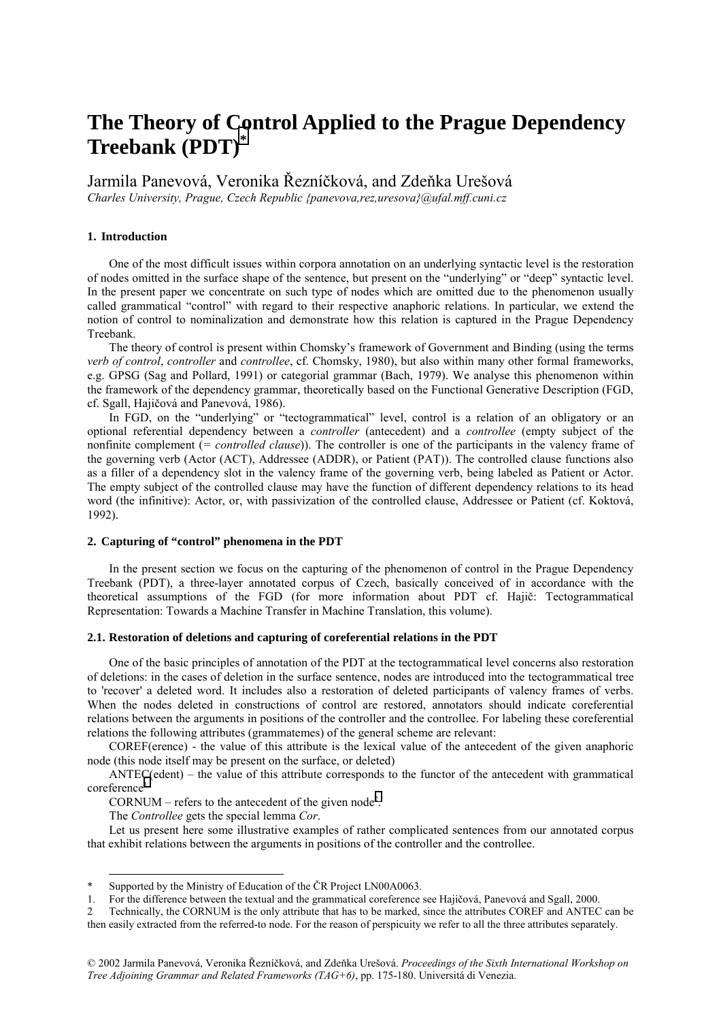# **The Theory of Control Applied to the Prague Dependency Treebank (PDT)\***

Jarmila Panevová, Veronika Řezníčková, and Zdeňka Urešová

*Charles University, Prague, Czech Republic {panevova,rez,uresova}@ufal.mff.cuni.cz* 

# **1. Introduction**

One of the most difficult issues within corpora annotation on an underlying syntactic level is the restoration of nodes omitted in the surface shape of the sentence, but present on the "underlying" or "deep" syntactic level. In the present paper we concentrate on such type of nodes which are omitted due to the phenomenon usually called grammatical "control" with regard to their respective anaphoric relations. In particular, we extend the notion of control to nominalization and demonstrate how this relation is captured in the Prague Dependency Treebank.

The theory of control is present within Chomsky's framework of Government and Binding (using the terms *verb of control*, *controller* and *controllee*, cf. Chomsky, 1980), but also within many other formal frameworks, e.g. GPSG (Sag and Pollard, 1991) or categorial grammar (Bach, 1979). We analyse this phenomenon within the framework of the dependency grammar, theoretically based on the Functional Generative Description (FGD, cf. Sgall, Hajičová and Panevová, 1986).

In FGD, on the "underlying" or "tectogrammatical" level, control is a relation of an obligatory or an optional referential dependency between a *controller* (antecedent) and a *controllee* (empty subject of the nonfinite complement (*= controlled clause*)). The controller is one of the participants in the valency frame of the governing verb (Actor (ACT), Addressee (ADDR), or Patient (PAT)). The controlled clause functions also as a filler of a dependency slot in the valency frame of the governing verb, being labeled as Patient or Actor. The empty subject of the controlled clause may have the function of different dependency relations to its head word (the infinitive): Actor, or, with passivization of the controlled clause, Addressee or Patient (cf. Koktová, 1992).

## **2. Capturing of "control" phenomena in the PDT**

In the present section we focus on the capturing of the phenomenon of control in the Prague Dependency Treebank (PDT), a three-layer annotated corpus of Czech, basically conceived of in accordance with the theoretical assumptions of the FGD (for more information about PDT cf. Hajič: Tectogrammatical Representation: Towards a Machine Transfer in Machine Translation, this volume).

# **2.1. Restoration of deletions and capturing of coreferential relations in the PDT**

One of the basic principles of annotation of the PDT at the tectogrammatical level concerns also restoration of deletions: in the cases of deletion in the surface sentence, nodes are introduced into the tectogrammatical tree to 'recover' a deleted word. It includes also a restoration of deleted participants of valency frames of verbs. When the nodes deleted in constructions of control are restored, annotators should indicate coreferential relations between the arguments in positions of the controller and the controllee. For labeling these coreferential relations the following attributes (grammatemes) of the general scheme are relevant:

COREF(erence) - the value of this attribute is the lexical value of the antecedent of the given anaphoric node (this node itself may be present on the surface, or deleted)

 $\text{ANTEC}$ (edent) – the value of this attribute corresponds to the functor of the antecedent with grammatical coreference<sup>1</sup>

 $CORNUM - refers to the antecedent of the given node<sup>2</sup>.$ 

The *Controllee* gets the special lemma *Cor*.

l

Let us present here some illustrative examples of rather complicated sentences from our annotated corpus that exhibit relations between the arguments in positions of the controller and the controllee.

Supported by the Ministry of Education of the ČR Project LN00A0063.

<sup>1.</sup> For the difference between the textual and the grammatical coreference see Hajičová, Panevová and Sgall, 2000.

<sup>2</sup> Technically, the CORNUM is the only attribute that has to be marked, since the attributes COREF and ANTEC can be then easily extracted from the referred-to node. For the reason of perspicuity we refer to all the three attributes separately.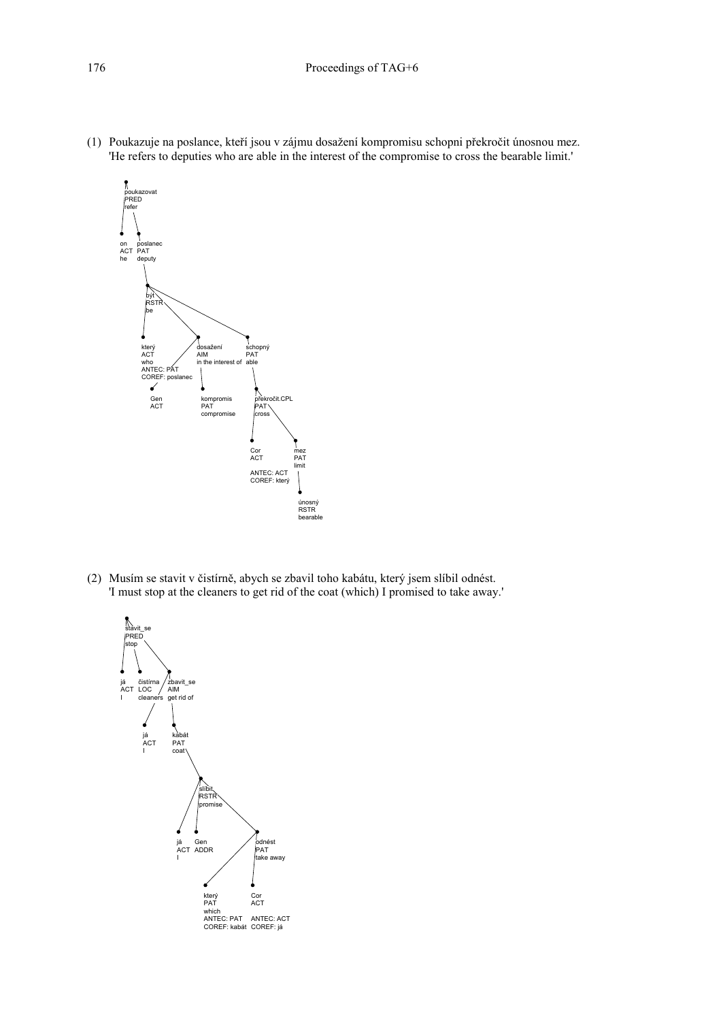(1) Poukazuje na poslance, kteří jsou v zájmu dosažení kompromisu schopni překročit únosnou mez. 'He refers to deputies who are able in the interest of the compromise to cross the bearable limit.'



(2) Musím se stavit v čistírně, abych se zbavil toho kabátu, který jsem slíbil odnést. 'I must stop at the cleaners to get rid of the coat (which) I promised to take away.'

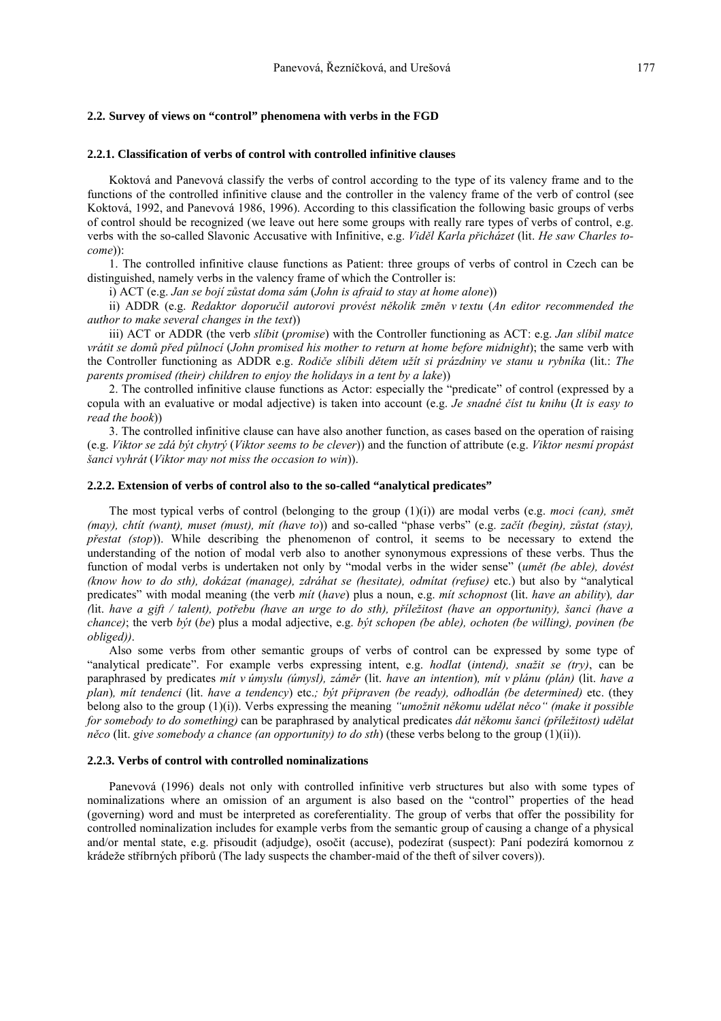# 2.2. Survey of views on "control" phenomena with verbs in the FGD

## 2.2.1. Classification of verbs of control with controlled infinitive clauses

Koktová and Panevová classify the verbs of control according to the type of its valency frame and to the functions of the controlled infinitive clause and the controller in the valency frame of the verb of control (see Koktová, 1992, and Panevová 1986, 1996). According to this classification the following basic groups of verbs of control should be recognized (we leave out here some groups with really rare types of verbs of control, e.g. verbs with the so-called Slavonic Accusative with Infinitive, e.g. Viděl Karla přicházet (lit. He saw Charles to $comel)$ 

1. The controlled infinitive clause functions as Patient: three groups of verbs of control in Czech can be distinguished, namely verbs in the valency frame of which the Controller is:

i) ACT (e.g. Jan se bojí zůstat doma sám (John is afraid to stay at home alone))

ii) ADDR (e.g. Redaktor doporučil autorovi provést několik změn v textu (An editor recommended the *author to make several changes in the text*))

iii) ACT or ADDR (the verb *slibit (promise)* with the Controller functioning as ACT; e.g. *Jan slibil matce* vrátit se domů před půlnocí (John promised his mother to return at home before midnight); the same verb with the Controller functioning as ADDR e.g. Rodiče slibili dětem užít si prázdniny ve stanu u rybníka (lit.: The parents promised (their) children to enjoy the holidays in a tent by a lake))

2. The controlled infinitive clause functions as Actor: especially the "predicate" of control (expressed by a copula with an evaluative or modal adjective) is taken into account (e.g. Je snadné číst tu knihu (It is easy to  $read the book)$ 

3. The controlled infinitive clause can have also another function, as cases based on the operation of raising (e.g. Viktor se zdá být chytrý (Viktor seems to be clever)) and the function of attribute (e.g. Viktor nesmí propást šanci vyhrát (Viktor may not miss the occasion to win)).

## 2.2.2. Extension of verbs of control also to the so-called "analytical predicates"

The most typical verbs of control (belonging to the group  $(1)(i)$ ) are modal verbs (e.g. *moci (can)*, *smět* (may), chtit (want), muset (must), mit (have to)) and so-called "phase verbs" (e.g. začít (begin), zůstat (stay), *přestat (stop)*). While describing the phenomenon of control, it seems to be necessary to extend the understanding of the notion of modal verb also to another synonymous expressions of these verbs. Thus the function of modal verbs is undertaken not only by "modal verbs in the wider sense" (umět (be able), dovést (know how to do sth), dokázat (manage), zdráhat se (hesitate), odmítat (refuse) etc.) but also by "analytical predicates" with modal meaning (the verb mit (have) plus a noun, e.g. mit schopnost (lit. have an ability), dar (lit. have a gift / talent), potřebu (have an urge to do sth), příležitost (have an opportunity), šanci (have a chance); the verb byt (be) plus a modal adjective, e.g. byt schopen (be able), ochoten (be willing), povinen (be obliged).

Also some verbs from other semantic groups of verbs of control can be expressed by some type of "analytical predicate". For example verbs expressing intent, e.g. hodlat (intend), snažit se (try), can be paraphrased by predicates mít v úmyslu (úmysl), záměr (lit. have an intention), mít v plánu (plán) (lit. have a plan), mít tendenci (lit. have a tendency) etc.; být připraven (be ready), odhodlán (be determined) etc. (they belong also to the group (1)(i)). Verbs expressing the meaning "umožnit někomu udělat něco" (make it possible for somebody to do something) can be paraphrased by analytical predicates dát někomu šanci (příležitost) udělat *něco* (lit. give somebody a chance (an opportunity) to do sth) (these verbs belong to the group  $(1)(ii)$ ).

#### 2.2.3. Verbs of control with controlled nominalizations

Panevová (1996) deals not only with controlled infinitive verb structures but also with some types of nominalizations where an omission of an argument is also based on the "control" properties of the head (governing) word and must be interpreted as coreferentiality. The group of verbs that offer the possibility for controlled nominalization includes for example verbs from the semantic group of causing a change of a physical and/or mental state, e.g. přisoudit (adjudge), osočit (accuse), podezírat (suspect): Paní podezírá komornou z krádeže stříbrných příborů (The lady suspects the chamber-maid of the theft of silver covers)).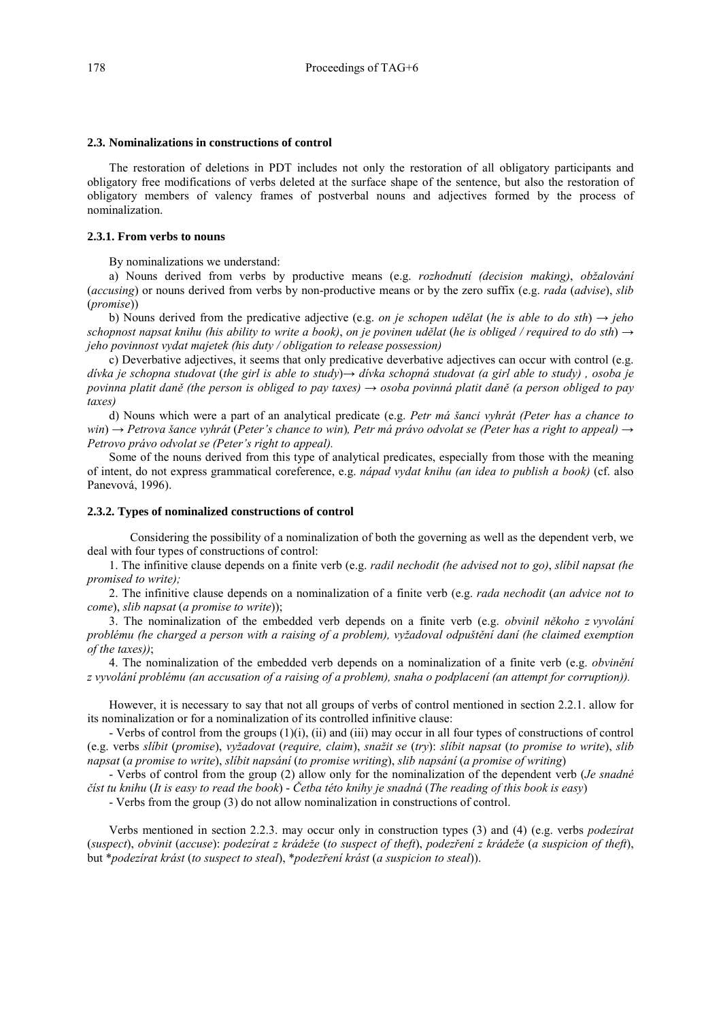#### **2.3. Nominalizations in constructions of control**

The restoration of deletions in PDT includes not only the restoration of all obligatory participants and obligatory free modifications of verbs deleted at the surface shape of the sentence, but also the restoration of obligatory members of valency frames of postverbal nouns and adjectives formed by the process of nominalization.

### **2.3.1. From verbs to nouns**

By nominalizations we understand:

a) Nouns derived from verbs by productive means (e.g. *rozhodnutí (decision making)*, *obžalování* (*accusing*) or nouns derived from verbs by non-productive means or by the zero suffix (e.g. *rada* (*advise*), *slib* (*promise*))

b) Nouns derived from the predicative adjective (e.g. *on je schopen udělat* (*he is able to do sth*)  $\rightarrow$  *jeho schopnost napsat knihu (his ability to write a book), on je povinen udělat (he is obliged / required to do sth*)  $\rightarrow$ *jeho povinnost vydat majetek (his duty / obligation to release possession)*

c) Deverbative adjectives, it seems that only predicative deverbative adjectives can occur with control (e.g. *divka je schopna studovat (the girl is able to study)→ dívka schopná studovat (a girl able to study), osoba je povinna platit daně (the person is obliged to pay taxes)* → *osoba povinná platit daně (a person obliged to pay taxes)*

d) Nouns which were a part of an analytical predicate (e.g. *Petr má šanci vyhrát (Peter has a chance to win*) → *Petrova šance vyhrát* (*Peter's chance to win*), *Petr má právo odvolat se (Peter has a right to appeal)* → *Petrovo právo odvolat se (Peter's right to appeal).* 

Some of the nouns derived from this type of analytical predicates, especially from those with the meaning of intent, do not express grammatical coreference, e.g. *nápad vydat knihu (an idea to publish a book)* (cf. also Panevová, 1996).

## **2.3.2. Types of nominalized constructions of control**

Considering the possibility of a nominalization of both the governing as well as the dependent verb, we deal with four types of constructions of control:

1. The infinitive clause depends on a finite verb (e.g. *radil nechodit (he advised not to go)*, *slÌbil napsat (he promised to write);*

2. The infinitive clause depends on a nominalization of a finite verb (e.g. *rada nechodit* (*an advice not to come*), *slib napsat* (*a promise to write*));

3. The nominalization of the embedded verb depends on a finite verb (e.g. *obvinil někoho z vyvolání problÈmu (he charged a person with a raising of a problem), vyûadoval odpuötěnÌ danÌ (he claimed exemption of the taxes))*;

4. The nominalization of the embedded verb depends on a nominalization of a finite verb (e.g. *obviněnÌ z vyvol·nÌ problÈmu (an accusation of a raising of a problem), snaha o podplacenÌ (an attempt for corruption)).*

However, it is necessary to say that not all groups of verbs of control mentioned in section 2.2.1. allow for its nominalization or for a nominalization of its controlled infinitive clause:

- Verbs of control from the groups (1)(i), (ii) and (iii) may occur in all four types of constructions of control (e.g. verbs *slÌbit* (*promise*), *vyûadovat* (*require, claim*), *snaûit se* (*try*): *slÌbit napsat* (*to promise to write*), *slib napsat (a promise to write), slibit napsání (to promise writing), slib napsání (a promise of writing)* 

- Verbs of control from the group (2) allow only for the nominalization of the dependent verb (*Je snadnÈ číst tu knihu (It is easy to read the book) - Četba této knihy je snadná (The reading of this book is easy)* 

- Verbs from the group (3) do not allow nominalization in constructions of control.

Verbs mentioned in section 2.2.3. may occur only in construction types (3) and (4) (e.g. verbs *podezÌrat* (*suspect*), *obvinit* (*accuse*): *podezÌrat z kr·deûe* (*to suspect of theft*), *podezřenÌ z kr·deûe* (*a suspicion of theft*), but \**podezÌrat kr·st* (*to suspect to steal*), \**podezřenÌ kr·st* (*a suspicion to steal*)).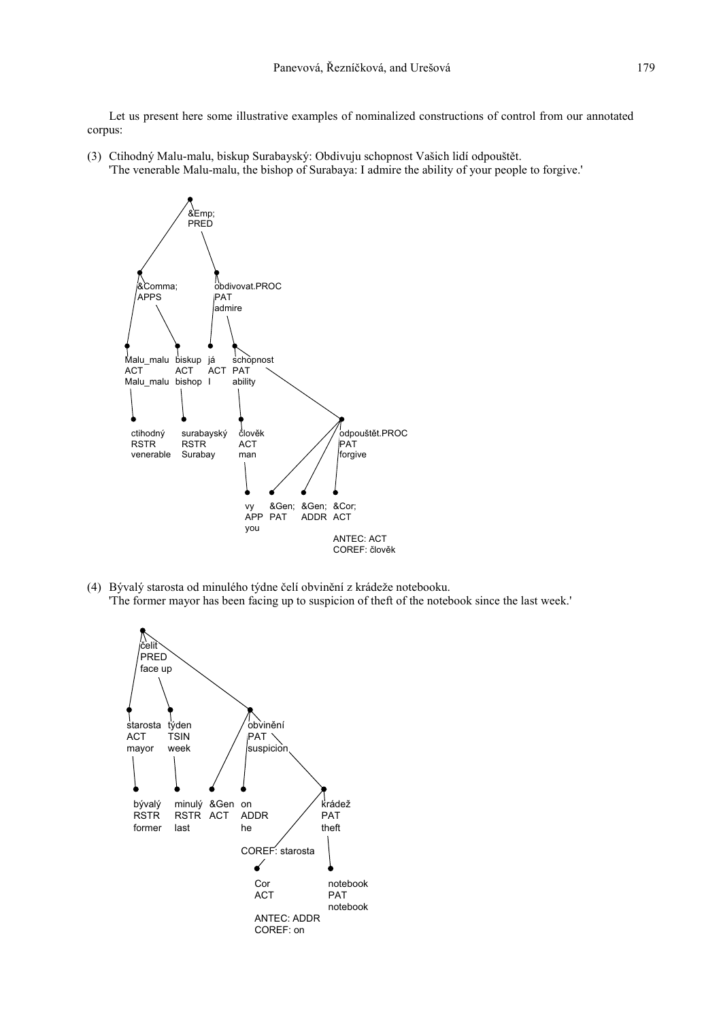Let us present here some illustrative examples of nominalized constructions of control from our annotated corpus:

(3) Ctihodný Malu-malu, biskup Surabayský: Obdivuju schopnost Vašich lidí odpouštět. 'The venerable Malu-malu, the bishop of Surabaya: I admire the ability of your people to forgive.'



(4) Bývalý starosta od minulého týdne čelí obvinění z krádeže notebooku. 'The former mayor has been facing up to suspicion of theft of the notebook since the last week.'